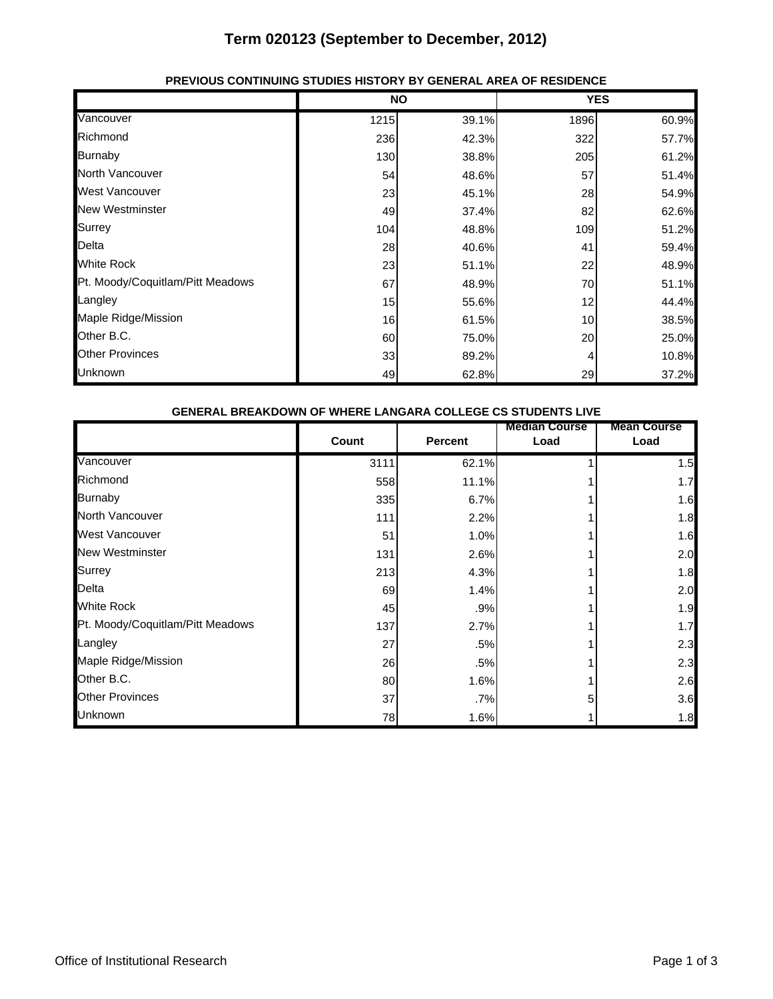## **Term 020123 (September to December, 2012)**

|                                  | <b>NO</b> |       | <b>YES</b> |       |
|----------------------------------|-----------|-------|------------|-------|
| Vancouver                        | 1215      | 39.1% | 1896       | 60.9% |
| Richmond                         | 236       | 42.3% | 322        | 57.7% |
| <b>Burnaby</b>                   | 130       | 38.8% | 205        | 61.2% |
| North Vancouver                  | 54        | 48.6% | 57         | 51.4% |
| <b>West Vancouver</b>            | 23        | 45.1% | 28         | 54.9% |
| <b>New Westminster</b>           | 49        | 37.4% | 82         | 62.6% |
| Surrey                           | 104       | 48.8% | 109        | 51.2% |
| Delta                            | 28        | 40.6% | 41         | 59.4% |
| <b>White Rock</b>                | 23        | 51.1% | 22         | 48.9% |
| Pt. Moody/Coquitlam/Pitt Meadows | 67        | 48.9% | 70         | 51.1% |
| Langley                          | 15        | 55.6% | 12         | 44.4% |
| Maple Ridge/Mission              | 16        | 61.5% | 10         | 38.5% |
| Other B.C.                       | 60        | 75.0% | 20         | 25.0% |
| <b>Other Provinces</b>           | 33        | 89.2% |            | 10.8% |
| <b>Unknown</b>                   | 49        | 62.8% | 29         | 37.2% |

## **PREVIOUS CONTINUING STUDIES HISTORY BY GENERAL AREA OF RESIDENCE**

| <b>GENERAL BREAKDOWN OF WHERE LANGARA COLLEGE CS STUDENTS LIVE</b> |       |                |                              |                            |  |  |
|--------------------------------------------------------------------|-------|----------------|------------------------------|----------------------------|--|--|
|                                                                    | Count | <b>Percent</b> | <b>Median Course</b><br>Load | <b>Mean Course</b><br>Load |  |  |
| Vancouver                                                          | 3111  | 62.1%          |                              | 1.5                        |  |  |
| Richmond                                                           | 558   | 11.1%          |                              | 1.7                        |  |  |
| <b>Burnaby</b>                                                     | 335   | 6.7%           |                              | 1.6                        |  |  |
| North Vancouver                                                    | 111   | 2.2%           |                              | 1.8                        |  |  |
| <b>West Vancouver</b>                                              | 51    | 1.0%           |                              | 1.6                        |  |  |
| <b>New Westminster</b>                                             | 131   | 2.6%           |                              | 2.0                        |  |  |
| <b>Surrey</b>                                                      | 213   | 4.3%           |                              | 1.8                        |  |  |
| Delta                                                              | 69    | 1.4%           |                              | 2.0                        |  |  |
| <b>White Rock</b>                                                  | 45    | .9%            |                              | 1.9                        |  |  |
| Pt. Moody/Coquitlam/Pitt Meadows                                   | 137   | 2.7%           |                              | 1.7                        |  |  |
| Langley                                                            | 27    | .5%            |                              | 2.3                        |  |  |
| Maple Ridge/Mission                                                | 26    | .5%            |                              | 2.3                        |  |  |
| Other B.C.                                                         | 80    | 1.6%           |                              | 2.6                        |  |  |
| <b>Other Provinces</b>                                             | 37    | .7%            |                              | 3.6                        |  |  |
| Unknown                                                            | 78    | 1.6%           |                              | 1.8                        |  |  |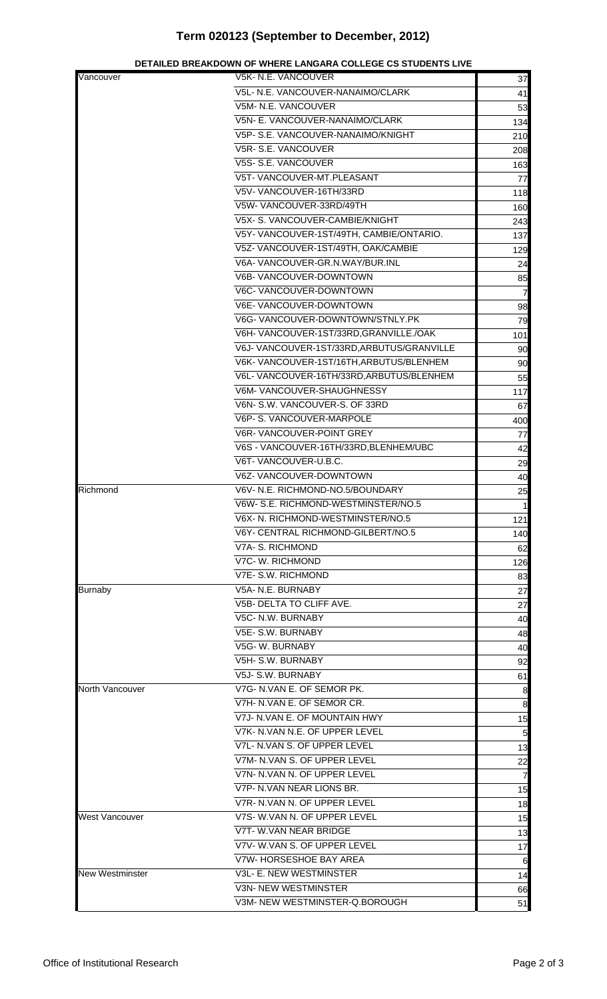## **Term 020123 (September to December, 2012)**

| Vancouver              | V5K- N.E. VANCOUVER                        | 37              |
|------------------------|--------------------------------------------|-----------------|
|                        | V5L- N.E. VANCOUVER-NANAIMO/CLARK          | 41              |
|                        | V5M- N.E. VANCOUVER                        | 53              |
|                        | V5N- E. VANCOUVER-NANAIMO/CLARK            | 134             |
|                        | V5P- S.E. VANCOUVER-NANAIMO/KNIGHT         | 210             |
|                        | V5R-S.E. VANCOUVER                         | 208             |
|                        | V5S- S.E. VANCOUVER                        | 163             |
|                        | V5T- VANCOUVER-MT.PLEASANT                 | 77              |
|                        | V5V-VANCOUVER-16TH/33RD                    |                 |
|                        | V5W-VANCOUVER-33RD/49TH                    | 118             |
|                        | V5X- S. VANCOUVER-CAMBIE/KNIGHT            | 160             |
|                        |                                            | 243             |
|                        | V5Y- VANCOUVER-1ST/49TH, CAMBIE/ONTARIO.   | 137             |
|                        | V5Z- VANCOUVER-1ST/49TH, OAK/CAMBIE        | 129             |
|                        | V6A- VANCOUVER-GR.N.WAY/BUR.INL            | 24              |
|                        | V6B- VANCOUVER-DOWNTOWN                    | 85              |
|                        | V6C- VANCOUVER-DOWNTOWN                    | $\overline{7}$  |
|                        | V6E- VANCOUVER-DOWNTOWN                    | 98              |
|                        | V6G-VANCOUVER-DOWNTOWN/STNLY.PK            | 79              |
|                        | V6H-VANCOUVER-1ST/33RD, GRANVILLE./OAK     | 101             |
|                        | V6J- VANCOUVER-1ST/33RD, ARBUTUS/GRANVILLE | 90              |
|                        | V6K-VANCOUVER-1ST/16TH, ARBUTUS/BLENHEM    | 90              |
|                        | V6L- VANCOUVER-16TH/33RD, ARBUTUS/BLENHEM  | 55              |
|                        | V6M-VANCOUVER-SHAUGHNESSY                  | 117             |
|                        | V6N- S.W. VANCOUVER-S. OF 33RD             | 67              |
|                        | V6P- S. VANCOUVER-MARPOLE                  | 400             |
|                        | V6R-VANCOUVER-POINT GREY                   | 77              |
|                        | V6S - VANCOUVER-16TH/33RD, BLENHEM/UBC     | 42              |
|                        | V6T-VANCOUVER-U.B.C.                       | 29              |
|                        | V6Z- VANCOUVER-DOWNTOWN                    | 40              |
| Richmond               | V6V- N.E. RICHMOND-NO.5/BOUNDARY           | 25              |
|                        | V6W- S.E. RICHMOND-WESTMINSTER/NO.5        | $\mathbf{1}$    |
|                        | V6X- N. RICHMOND-WESTMINSTER/NO.5          | 121             |
|                        | V6Y- CENTRAL RICHMOND-GILBERT/NO.5         | 140             |
|                        | V7A- S. RICHMOND                           | 62              |
|                        | V7C- W. RICHMOND                           | 126             |
|                        | V7E- S.W. RICHMOND                         | 83              |
| <b>Burnaby</b>         | V5A- N.E. BURNABY                          | 27              |
|                        | V5B- DELTA TO CLIFF AVE.                   | 27              |
|                        | V5C- N.W. BURNABY                          | 40              |
|                        | V5E- S.W. BURNABY                          | 48              |
|                        | V5G-W. BURNABY                             | 40              |
|                        | V5H- S.W. BURNABY                          | 92              |
|                        | V5J- S.W. BURNABY                          | 61              |
| North Vancouver        | V7G- N.VAN E. OF SEMOR PK.                 | 8               |
|                        | V7H- N.VAN E. OF SEMOR CR.                 | 8               |
|                        | V7J- N.VAN E. OF MOUNTAIN HWY              | 15              |
|                        | V7K- N.VAN N.E. OF UPPER LEVEL             | 5               |
|                        | V7L- N.VAN S. OF UPPER LEVEL               | 13              |
|                        | V7M- N.VAN S. OF UPPER LEVEL               | 22              |
|                        | V7N- N.VAN N. OF UPPER LEVEL               | $\overline{7}$  |
|                        | V7P- N.VAN NEAR LIONS BR.                  | 15              |
|                        | V7R- N.VAN N. OF UPPER LEVEL               | 18              |
| <b>West Vancouver</b>  | V7S- W.VAN N. OF UPPER LEVEL               |                 |
|                        | V7T- W.VAN NEAR BRIDGE                     | 15              |
|                        | V7V- W.VAN S. OF UPPER LEVEL               | 13              |
|                        | V7W- HORSESHOE BAY AREA                    | 17              |
| <b>New Westminster</b> | V3L- E. NEW WESTMINSTER                    | $6\phantom{.}6$ |
|                        | <b>V3N- NEW WESTMINSTER</b>                | 14              |
|                        | V3M- NEW WESTMINSTER-Q.BOROUGH             | 66              |
|                        |                                            | 51              |